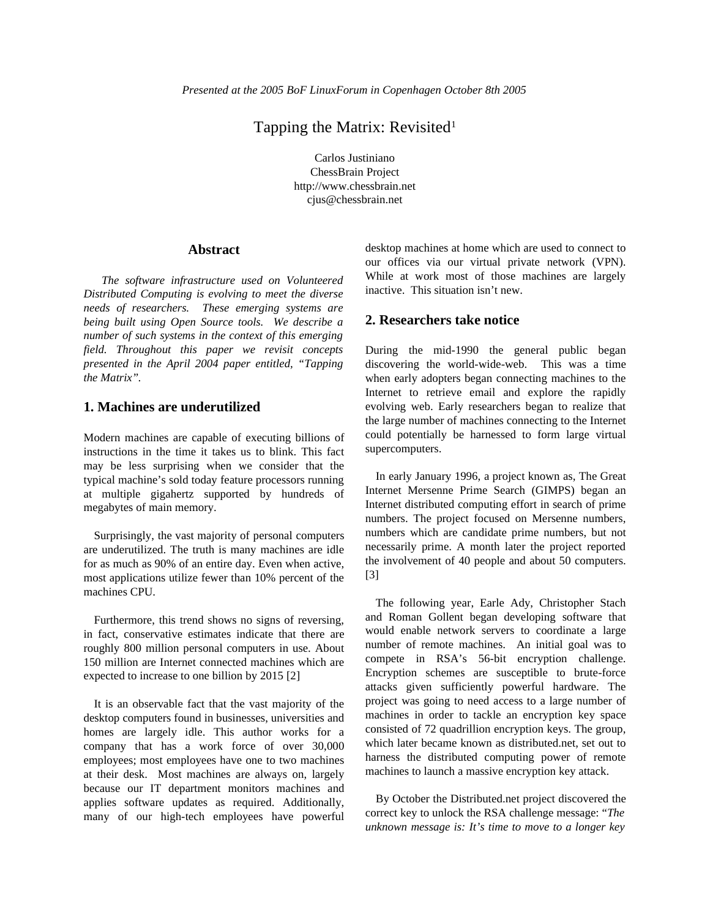# Tapping the Matrix: Revisited<sup>1</sup>

Carlos Justiniano ChessBrain Project http://www.chessbrain.net cjus@chessbrain.net

## **Abstract**

*The software infrastructure used on Volunteered Distributed Computing is evolving to meet the diverse needs of researchers. These emerging systems are being built using Open Source tools. We describe a number of such systems in the context of this emerging field. Throughout this paper we revisit concepts presented in the April 2004 paper entitled, "Tapping the Matrix".*

## **1. Machines are underutilized**

Modern machines are capable of executing billions of instructions in the time it takes us to blink. This fact may be less surprising when we consider that the typical machine's sold today feature processors running at multiple gigahertz supported by hundreds of megabytes of main memory.

Surprisingly, the vast majority of personal computers are underutilized. The truth is many machines are idle for as much as 90% of an entire day. Even when active, most applications utilize fewer than 10% percent of the machines CPU.

Furthermore, this trend shows no signs of reversing, in fact, conservative estimates indicate that there are roughly 800 million personal computers in use. About 150 million are Internet connected machines which are expected to increase to one billion by 2015 [2]

It is an observable fact that the vast majority of the desktop computers found in businesses, universities and homes are largely idle. This author works for a company that has a work force of over 30,000 employees; most employees have one to two machines at their desk. Most machines are always on, largely because our IT department monitors machines and applies software updates as required. Additionally, many of our high-tech employees have powerful

desktop machines at home which are used to connect to our offices via our virtual private network (VPN). While at work most of those machines are largely inactive. This situation isn't new.

## **2. Researchers take notice**

During the mid-1990 the general public began discovering the world-wide-web. This was a time when early adopters began connecting machines to the Internet to retrieve email and explore the rapidly evolving web. Early researchers began to realize that the large number of machines connecting to the Internet could potentially be harnessed to form large virtual supercomputers.

In early January 1996, a project known as, The Great Internet Mersenne Prime Search (GIMPS) began an Internet distributed computing effort in search of prime numbers. The project focused on Mersenne numbers, numbers which are candidate prime numbers, but not necessarily prime. A month later the project reported the involvement of 40 people and about 50 computers. [3]

The following year, Earle Ady, Christopher Stach and Roman Gollent began developing software that would enable network servers to coordinate a large number of remote machines. An initial goal was to compete in RSA's 56-bit encryption challenge. Encryption schemes are susceptible to brute-force attacks given sufficiently powerful hardware. The project was going to need access to a large number of machines in order to tackle an encryption key space consisted of 72 quadrillion encryption keys. The group, which later became known as distributed.net, set out to harness the distributed computing power of remote machines to launch a massive encryption key attack.

By October the Distributed.net project discovered the correct key to unlock the RSA challenge message: "*The unknown message is: It's time to move to a longer key*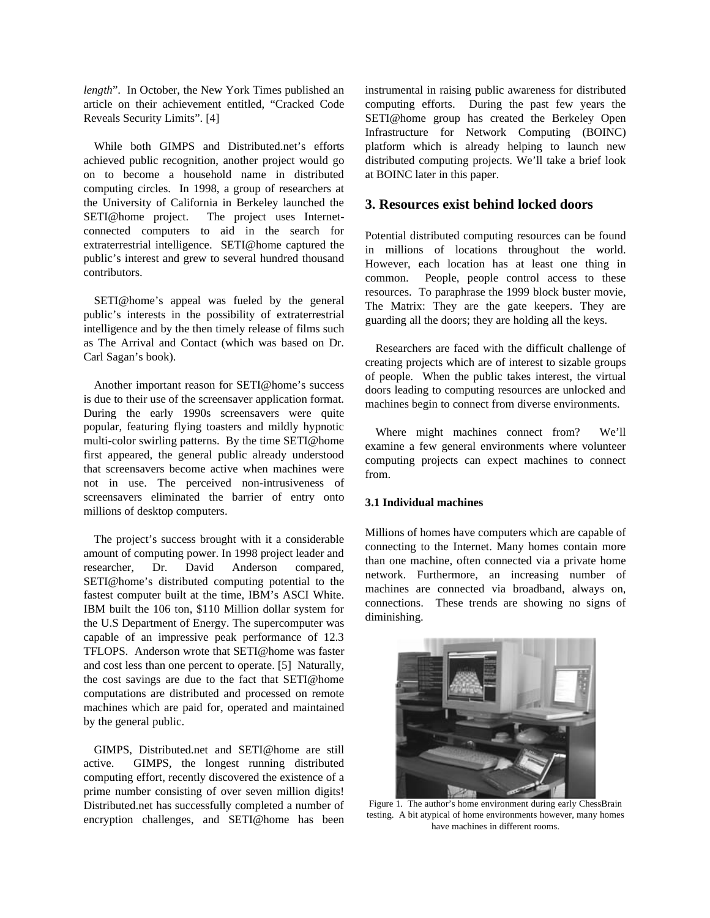*length*". In October, the New York Times published an article on their achievement entitled, "Cracked Code Reveals Security Limits". [4]

While both GIMPS and Distributed.net's efforts achieved public recognition, another project would go on to become a household name in distributed computing circles. In 1998, a group of researchers at the University of California in Berkeley launched the SETI@home project. The project uses Internetconnected computers to aid in the search for extraterrestrial intelligence. SETI@home captured the public's interest and grew to several hundred thousand contributors.

SETI@home's appeal was fueled by the general public's interests in the possibility of extraterrestrial intelligence and by the then timely release of films such as The Arrival and Contact (which was based on Dr. Carl Sagan's book).

Another important reason for SETI@home's success is due to their use of the screensaver application format. During the early 1990s screensavers were quite popular, featuring flying toasters and mildly hypnotic multi-color swirling patterns. By the time SETI@home first appeared, the general public already understood that screensavers become active when machines were not in use. The perceived non-intrusiveness of screensavers eliminated the barrier of entry onto millions of desktop computers.

The project's success brought with it a considerable amount of computing power. In 1998 project leader and researcher, Dr. David Anderson compared, SETI@home's distributed computing potential to the fastest computer built at the time, IBM's ASCI White. IBM built the 106 ton, \$110 Million dollar system for the U.S Department of Energy. The supercomputer was capable of an impressive peak performance of 12.3 TFLOPS. Anderson wrote that SETI@home was faster and cost less than one percent to operate. [5] Naturally, the cost savings are due to the fact that SETI@home computations are distributed and processed on remote machines which are paid for, operated and maintained by the general public.

GIMPS, Distributed.net and SETI@home are still active. GIMPS, the longest running distributed computing effort, recently discovered the existence of a prime number consisting of over seven million digits! Distributed.net has successfully completed a number of encryption challenges, and SETI@home has been

instrumental in raising public awareness for distributed computing efforts. During the past few years the SETI@home group has created the Berkeley Open Infrastructure for Network Computing (BOINC) platform which is already helping to launch new distributed computing projects. We'll take a brief look at BOINC later in this paper.

## **3. Resources exist behind locked doors**

Potential distributed computing resources can be found in millions of locations throughout the world. However, each location has at least one thing in common. People, people control access to these resources. To paraphrase the 1999 block buster movie, The Matrix: They are the gate keepers. They are guarding all the doors; they are holding all the keys.

Researchers are faced with the difficult challenge of creating projects which are of interest to sizable groups of people. When the public takes interest, the virtual doors leading to computing resources are unlocked and machines begin to connect from diverse environments.

Where might machines connect from? We'll examine a few general environments where volunteer computing projects can expect machines to connect from.

### **3.1 Individual machines**

Millions of homes have computers which are capable of connecting to the Internet. Many homes contain more than one machine, often connected via a private home network. Furthermore, an increasing number of machines are connected via broadband, always on, connections. These trends are showing no signs of diminishing.



Figure 1. The author's home environment during early ChessBrain testing. A bit atypical of home environments however, many homes have machines in different rooms.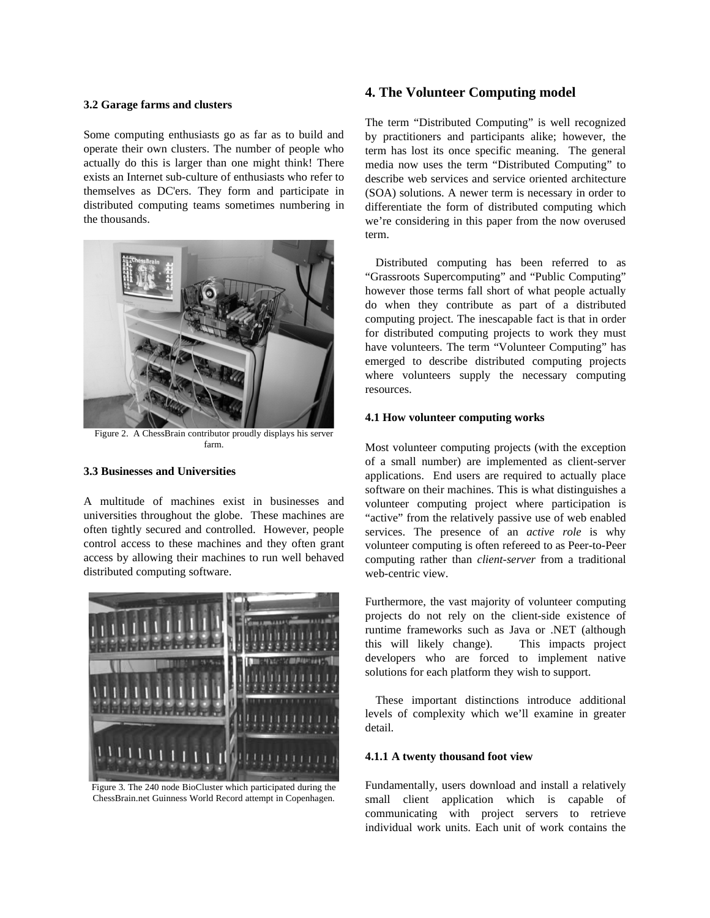#### **3.2 Garage farms and clusters**

Some computing enthusiasts go as far as to build and operate their own clusters. The number of people who actually do this is larger than one might think! There exists an Internet sub-culture of enthusiasts who refer to themselves as DC'ers. They form and participate in distributed computing teams sometimes numbering in the thousands.



Figure 2. A ChessBrain contributor proudly displays his server farm.

## **3.3 Businesses and Universities**

A multitude of machines exist in businesses and universities throughout the globe. These machines are often tightly secured and controlled. However, people control access to these machines and they often grant access by allowing their machines to run well behaved distributed computing software.



Figure 3. The 240 node BioCluster which participated during the ChessBrain.net Guinness World Record attempt in Copenhagen.

## **4. The Volunteer Computing model**

The term "Distributed Computing" is well recognized by practitioners and participants alike; however, the term has lost its once specific meaning. The general media now uses the term "Distributed Computing" to describe web services and service oriented architecture (SOA) solutions. A newer term is necessary in order to differentiate the form of distributed computing which we're considering in this paper from the now overused term.

Distributed computing has been referred to as "Grassroots Supercomputing" and "Public Computing" however those terms fall short of what people actually do when they contribute as part of a distributed computing project. The inescapable fact is that in order for distributed computing projects to work they must have volunteers. The term "Volunteer Computing" has emerged to describe distributed computing projects where volunteers supply the necessary computing resources.

### **4.1 How volunteer computing works**

Most volunteer computing projects (with the exception of a small number) are implemented as client-server applications. End users are required to actually place software on their machines. This is what distinguishes a volunteer computing project where participation is "active" from the relatively passive use of web enabled services. The presence of an *active role* is why volunteer computing is often refereed to as Peer-to-Peer computing rather than *client-server* from a traditional web-centric view.

Furthermore, the vast majority of volunteer computing projects do not rely on the client-side existence of runtime frameworks such as Java or .NET (although this will likely change). This impacts project developers who are forced to implement native solutions for each platform they wish to support.

These important distinctions introduce additional levels of complexity which we'll examine in greater detail.

#### **4.1.1 A twenty thousand foot view**

Fundamentally, users download and install a relatively small client application which is capable of communicating with project servers to retrieve individual work units. Each unit of work contains the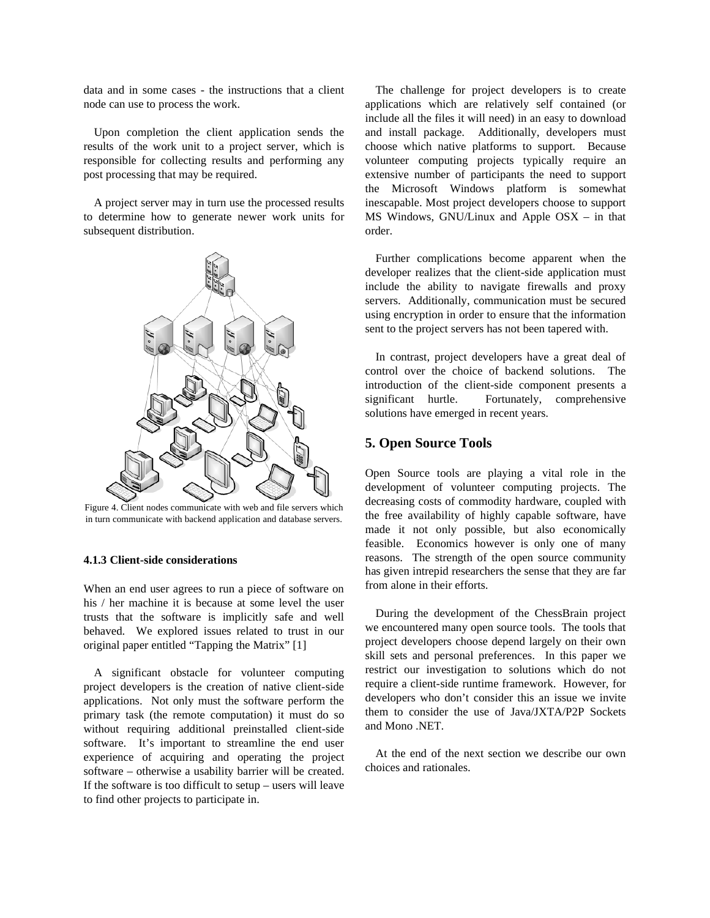data and in some cases - the instructions that a client node can use to process the work.

Upon completion the client application sends the results of the work unit to a project server, which is responsible for collecting results and performing any post processing that may be required.

A project server may in turn use the processed results to determine how to generate newer work units for subsequent distribution.



Figure 4. Client nodes communicate with web and file servers which in turn communicate with backend application and database servers.

#### **4.1.3 Client-side considerations**

When an end user agrees to run a piece of software on his / her machine it is because at some level the user trusts that the software is implicitly safe and well behaved. We explored issues related to trust in our original paper entitled "Tapping the Matrix" [1]

A significant obstacle for volunteer computing project developers is the creation of native client-side applications. Not only must the software perform the primary task (the remote computation) it must do so without requiring additional preinstalled client-side software. It's important to streamline the end user experience of acquiring and operating the project software – otherwise a usability barrier will be created. If the software is too difficult to setup – users will leave to find other projects to participate in.

The challenge for project developers is to create applications which are relatively self contained (or include all the files it will need) in an easy to download and install package. Additionally, developers must choose which native platforms to support. Because volunteer computing projects typically require an extensive number of participants the need to support the Microsoft Windows platform is somewhat inescapable. Most project developers choose to support MS Windows, GNU/Linux and Apple OSX – in that order.

Further complications become apparent when the developer realizes that the client-side application must include the ability to navigate firewalls and proxy servers. Additionally, communication must be secured using encryption in order to ensure that the information sent to the project servers has not been tapered with.

In contrast, project developers have a great deal of control over the choice of backend solutions. The introduction of the client-side component presents a significant hurtle. Fortunately, comprehensive solutions have emerged in recent years.

### **5. Open Source Tools**

Open Source tools are playing a vital role in the development of volunteer computing projects. The decreasing costs of commodity hardware, coupled with the free availability of highly capable software, have made it not only possible, but also economically feasible. Economics however is only one of many reasons. The strength of the open source community has given intrepid researchers the sense that they are far from alone in their efforts.

During the development of the ChessBrain project we encountered many open source tools. The tools that project developers choose depend largely on their own skill sets and personal preferences. In this paper we restrict our investigation to solutions which do not require a client-side runtime framework. However, for developers who don't consider this an issue we invite them to consider the use of Java/JXTA/P2P Sockets and Mono .NET.

At the end of the next section we describe our own choices and rationales.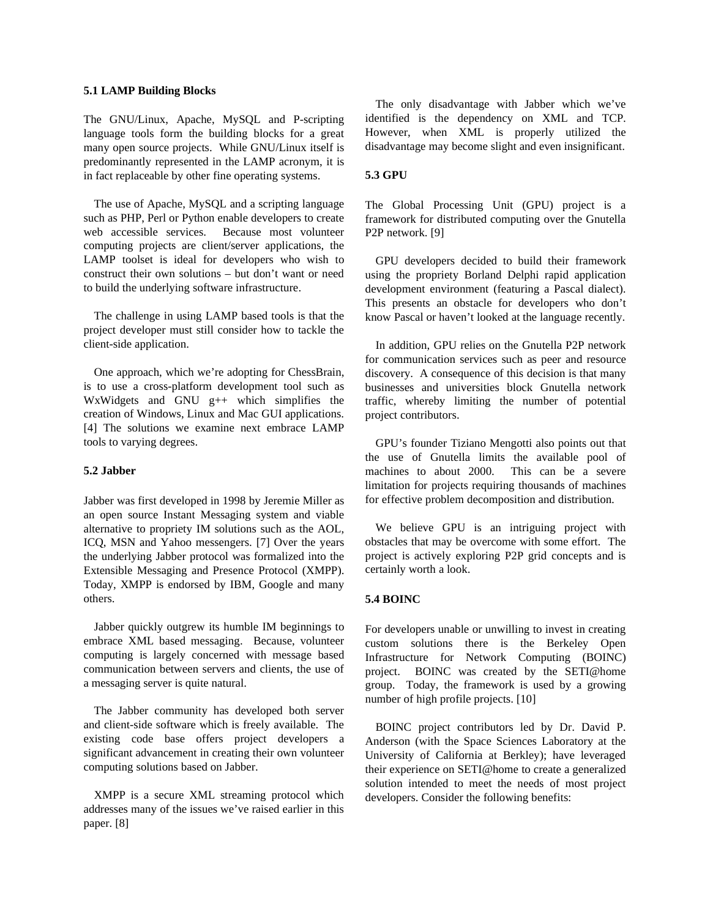#### **5.1 LAMP Building Blocks**

The GNU/Linux, Apache, MySQL and P-scripting language tools form the building blocks for a great many open source projects. While GNU/Linux itself is predominantly represented in the LAMP acronym, it is in fact replaceable by other fine operating systems.

The use of Apache, MySQL and a scripting language such as PHP, Perl or Python enable developers to create web accessible services. Because most volunteer computing projects are client/server applications, the LAMP toolset is ideal for developers who wish to construct their own solutions – but don't want or need to build the underlying software infrastructure.

The challenge in using LAMP based tools is that the project developer must still consider how to tackle the client-side application.

One approach, which we're adopting for ChessBrain, is to use a cross-platform development tool such as WxWidgets and GNU g++ which simplifies the creation of Windows, Linux and Mac GUI applications. [4] The solutions we examine next embrace LAMP tools to varying degrees.

#### **5.2 Jabber**

Jabber was first developed in 1998 by Jeremie Miller as an open source Instant Messaging system and viable alternative to propriety IM solutions such as the AOL, ICQ, MSN and Yahoo messengers. [7] Over the years the underlying Jabber protocol was formalized into the Extensible Messaging and Presence Protocol (XMPP). Today, XMPP is endorsed by IBM, Google and many others.

Jabber quickly outgrew its humble IM beginnings to embrace XML based messaging. Because, volunteer computing is largely concerned with message based communication between servers and clients, the use of a messaging server is quite natural.

The Jabber community has developed both server and client-side software which is freely available. The existing code base offers project developers a significant advancement in creating their own volunteer computing solutions based on Jabber.

XMPP is a secure XML streaming protocol which addresses many of the issues we've raised earlier in this paper. [8]

The only disadvantage with Jabber which we've identified is the dependency on XML and TCP. However, when XML is properly utilized the disadvantage may become slight and even insignificant.

#### **5.3 GPU**

The Global Processing Unit (GPU) project is a framework for distributed computing over the Gnutella P2P network. [9]

GPU developers decided to build their framework using the propriety Borland Delphi rapid application development environment (featuring a Pascal dialect). This presents an obstacle for developers who don't know Pascal or haven't looked at the language recently.

In addition, GPU relies on the Gnutella P2P network for communication services such as peer and resource discovery. A consequence of this decision is that many businesses and universities block Gnutella network traffic, whereby limiting the number of potential project contributors.

GPU's founder Tiziano Mengotti also points out that the use of Gnutella limits the available pool of machines to about 2000. This can be a severe limitation for projects requiring thousands of machines for effective problem decomposition and distribution.

We believe GPU is an intriguing project with obstacles that may be overcome with some effort. The project is actively exploring P2P grid concepts and is certainly worth a look.

#### **5.4 BOINC**

For developers unable or unwilling to invest in creating custom solutions there is the Berkeley Open Infrastructure for Network Computing (BOINC) project. BOINC was created by the SETI@home group. Today, the framework is used by a growing number of high profile projects. [10]

BOINC project contributors led by Dr. David P. Anderson (with the Space Sciences Laboratory at the University of California at Berkley); have leveraged their experience on SETI@home to create a generalized solution intended to meet the needs of most project developers. Consider the following benefits: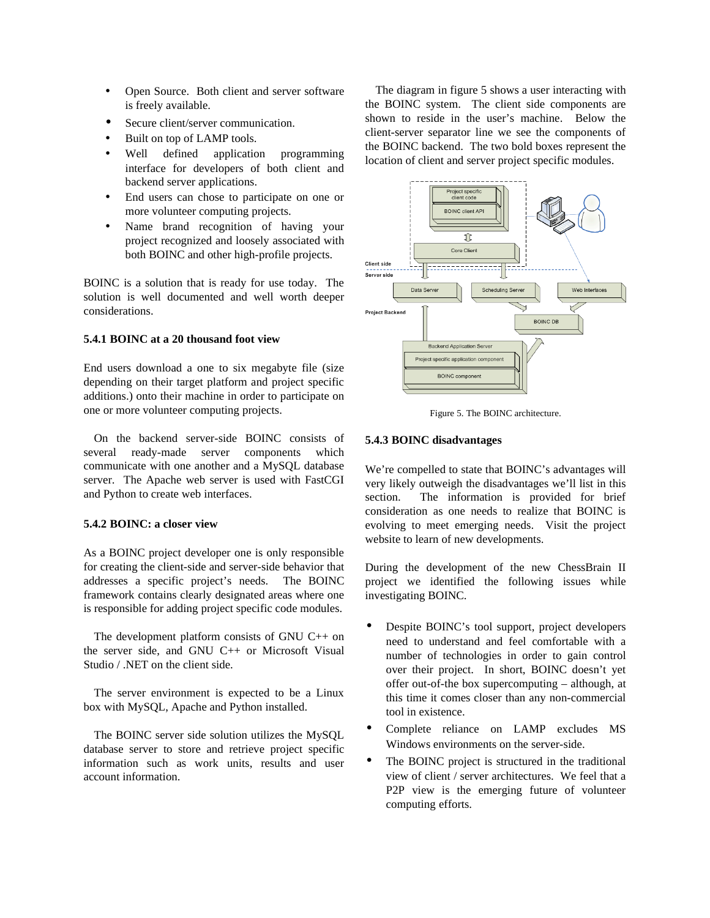- Open Source. Both client and server software is freely available.
- Secure client/server communication.
- Built on top of LAMP tools.
- Well defined application programming interface for developers of both client and backend server applications.
- End users can chose to participate on one or more volunteer computing projects.
- Name brand recognition of having your project recognized and loosely associated with both BOINC and other high-profile projects.

BOINC is a solution that is ready for use today. The solution is well documented and well worth deeper considerations.

#### **5.4.1 BOINC at a 20 thousand foot view**

End users download a one to six megabyte file (size depending on their target platform and project specific additions.) onto their machine in order to participate on one or more volunteer computing projects.

On the backend server-side BOINC consists of several ready-made server components which communicate with one another and a MySQL database server. The Apache web server is used with FastCGI and Python to create web interfaces.

### **5.4.2 BOINC: a closer view**

As a BOINC project developer one is only responsible for creating the client-side and server-side behavior that addresses a specific project's needs. The BOINC framework contains clearly designated areas where one is responsible for adding project specific code modules.

The development platform consists of GNU C++ on the server side, and GNU C++ or Microsoft Visual Studio / .NET on the client side.

The server environment is expected to be a Linux box with MySQL, Apache and Python installed.

The BOINC server side solution utilizes the MySQL database server to store and retrieve project specific information such as work units, results and user account information.

The diagram in figure 5 shows a user interacting with the BOINC system. The client side components are shown to reside in the user's machine. Below the client-server separator line we see the components of the BOINC backend. The two bold boxes represent the location of client and server project specific modules.



Figure 5. The BOINC architecture.

#### **5.4.3 BOINC disadvantages**

We're compelled to state that BOINC's advantages will very likely outweigh the disadvantages we'll list in this section. The information is provided for brief consideration as one needs to realize that BOINC is evolving to meet emerging needs. Visit the project website to learn of new developments.

During the development of the new ChessBrain II project we identified the following issues while investigating BOINC.

- Despite BOINC's tool support, project developers need to understand and feel comfortable with a number of technologies in order to gain control over their project. In short, BOINC doesn't yet offer out-of-the box supercomputing – although, at this time it comes closer than any non-commercial tool in existence.
- Complete reliance on LAMP excludes MS Windows environments on the server-side.
- The BOINC project is structured in the traditional view of client / server architectures. We feel that a P2P view is the emerging future of volunteer computing efforts.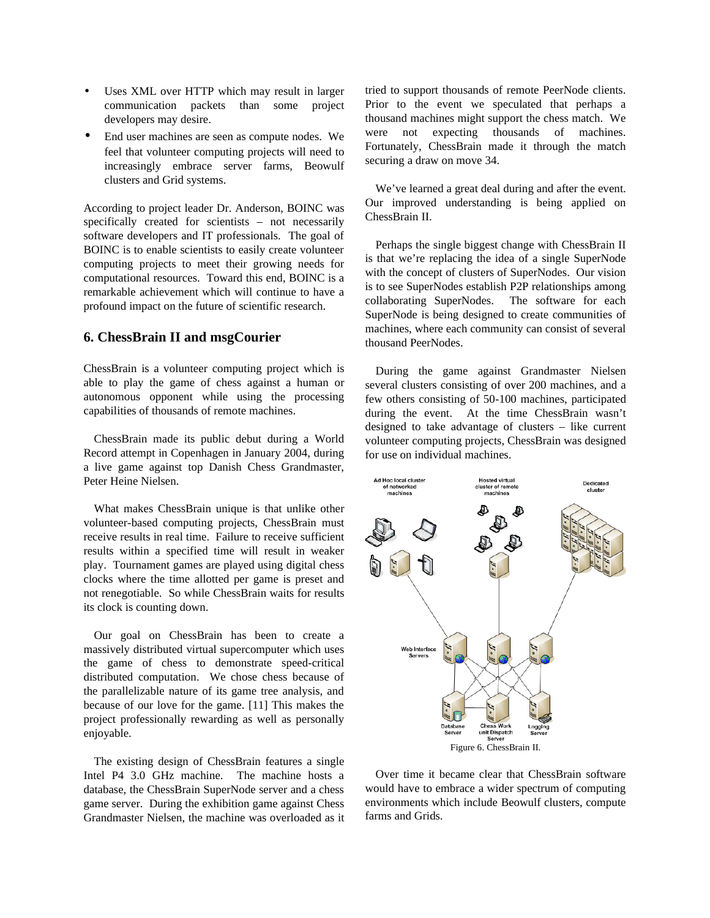- Uses XML over HTTP which may result in larger communication packets than some project developers may desire.
- End user machines are seen as compute nodes. We feel that volunteer computing projects will need to increasingly embrace server farms, Beowulf clusters and Grid systems.

According to project leader Dr. Anderson, BOINC was specifically created for scientists – not necessarily software developers and IT professionals. The goal of BOINC is to enable scientists to easily create volunteer computing projects to meet their growing needs for computational resources. Toward this end, BOINC is a remarkable achievement which will continue to have a profound impact on the future of scientific research.

## **6. ChessBrain II and msgCourier**

ChessBrain is a volunteer computing project which is able to play the game of chess against a human or autonomous opponent while using the processing capabilities of thousands of remote machines.

ChessBrain made its public debut during a World Record attempt in Copenhagen in January 2004, during a live game against top Danish Chess Grandmaster, Peter Heine Nielsen.

What makes ChessBrain unique is that unlike other volunteer-based computing projects, ChessBrain must receive results in real time. Failure to receive sufficient results within a specified time will result in weaker play. Tournament games are played using digital chess clocks where the time allotted per game is preset and not renegotiable. So while ChessBrain waits for results its clock is counting down.

Our goal on ChessBrain has been to create a massively distributed virtual supercomputer which uses the game of chess to demonstrate speed-critical distributed computation. We chose chess because of the parallelizable nature of its game tree analysis, and because of our love for the game. [11] This makes the project professionally rewarding as well as personally enjoyable.

The existing design of ChessBrain features a single Intel P4 3.0 GHz machine. The machine hosts a database, the ChessBrain SuperNode server and a chess game server. During the exhibition game against Chess Grandmaster Nielsen, the machine was overloaded as it tried to support thousands of remote PeerNode clients. Prior to the event we speculated that perhaps a thousand machines might support the chess match. We were not expecting thousands of machines. Fortunately, ChessBrain made it through the match securing a draw on move 34.

We've learned a great deal during and after the event. Our improved understanding is being applied on ChessBrain II.

Perhaps the single biggest change with ChessBrain II is that we're replacing the idea of a single SuperNode with the concept of clusters of SuperNodes. Our vision is to see SuperNodes establish P2P relationships among collaborating SuperNodes. The software for each SuperNode is being designed to create communities of machines, where each community can consist of several thousand PeerNodes.

During the game against Grandmaster Nielsen several clusters consisting of over 200 machines, and a few others consisting of 50-100 machines, participated during the event. At the time ChessBrain wasn't designed to take advantage of clusters – like current volunteer computing projects, ChessBrain was designed for use on individual machines.



Over time it became clear that ChessBrain software would have to embrace a wider spectrum of computing environments which include Beowulf clusters, compute farms and Grids.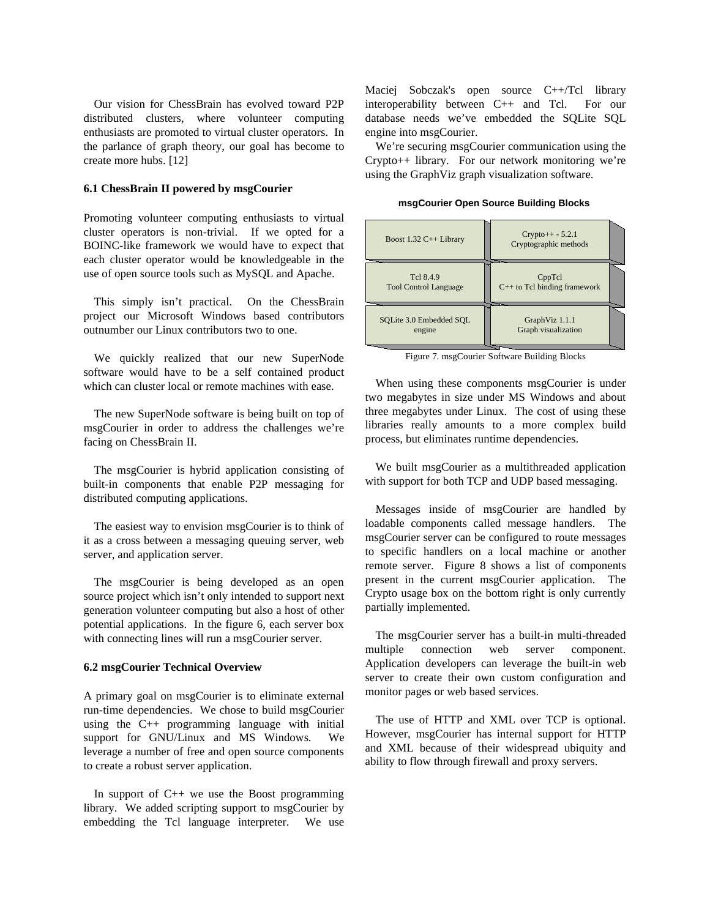Our vision for ChessBrain has evolved toward P2P distributed clusters, where volunteer computing enthusiasts are promoted to virtual cluster operators. In the parlance of graph theory, our goal has become to create more hubs. [12]

#### **6.1 ChessBrain II powered by msgCourier**

Promoting volunteer computing enthusiasts to virtual cluster operators is non-trivial. If we opted for a BOINC-like framework we would have to expect that each cluster operator would be knowledgeable in the use of open source tools such as MySQL and Apache.

This simply isn't practical. On the ChessBrain project our Microsoft Windows based contributors outnumber our Linux contributors two to one.

We quickly realized that our new SuperNode software would have to be a self contained product which can cluster local or remote machines with ease.

The new SuperNode software is being built on top of msgCourier in order to address the challenges we're facing on ChessBrain II.

The msgCourier is hybrid application consisting of built-in components that enable P2P messaging for distributed computing applications.

The easiest way to envision msgCourier is to think of it as a cross between a messaging queuing server, web server, and application server.

The msgCourier is being developed as an open source project which isn't only intended to support next generation volunteer computing but also a host of other potential applications. In the figure 6, each server box with connecting lines will run a msgCourier server.

#### **6.2 msgCourier Technical Overview**

A primary goal on msgCourier is to eliminate external run-time dependencies. We chose to build msgCourier using the C++ programming language with initial support for GNU/Linux and MS Windows. We leverage a number of free and open source components to create a robust server application.

In support of  $C++$  we use the Boost programming library. We added scripting support to msgCourier by embedding the Tcl language interpreter. We use Maciej Sobczak's open source C++/Tcl library interoperability between C++ and Tcl. For our database needs we've embedded the SQLite SQL engine into msgCourier.

We're securing msgCourier communication using the Crypto++ library. For our network monitoring we're using the GraphViz graph visualization software.

**msgCourier Open Source Building Blocks**

| Boost $1.32$ C++ Library     | $Crypto++-5.2.1$<br>Cryptographic methods |
|------------------------------|-------------------------------------------|
| Tcl 8.4.9                    | CppTcl                                    |
| <b>Tool Control Language</b> | $C++$ to Tcl binding framework            |
| SOLite 3.0 Embedded SOL      | GraphViz 1.1.1                            |
| engine                       | Graph visualization                       |

Figure 7. msgCourier Software Building Blocks

When using these components msgCourier is under two megabytes in size under MS Windows and about three megabytes under Linux. The cost of using these libraries really amounts to a more complex build process, but eliminates runtime dependencies.

We built msgCourier as a multithreaded application with support for both TCP and UDP based messaging.

Messages inside of msgCourier are handled by loadable components called message handlers. The msgCourier server can be configured to route messages to specific handlers on a local machine or another remote server. Figure 8 shows a list of components present in the current msgCourier application. The Crypto usage box on the bottom right is only currently partially implemented.

The msgCourier server has a built-in multi-threaded multiple connection web server component. Application developers can leverage the built-in web server to create their own custom configuration and monitor pages or web based services.

The use of HTTP and XML over TCP is optional. However, msgCourier has internal support for HTTP and XML because of their widespread ubiquity and ability to flow through firewall and proxy servers.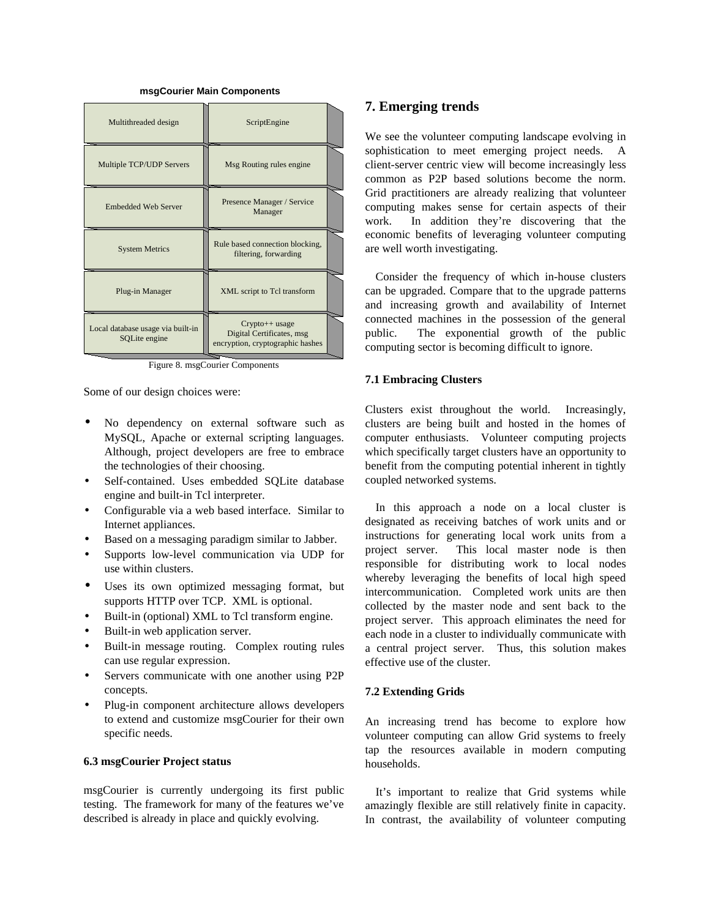#### **msgCourier Main Components**

| Multithreaded design                               | ScriptEngine                                                                      |  |
|----------------------------------------------------|-----------------------------------------------------------------------------------|--|
| Multiple TCP/UDP Servers                           | Msg Routing rules engine                                                          |  |
| <b>Embedded Web Server</b>                         | Presence Manager / Service<br>Manager                                             |  |
| <b>System Metrics</b>                              | Rule based connection blocking,<br>filtering, forwarding                          |  |
| Plug-in Manager                                    | XML script to Tcl transform                                                       |  |
| Local database usage via built-in<br>SOLite engine | $Crypto++$ usage<br>Digital Certificates, msg<br>encryption, cryptographic hashes |  |

Figure 8. msgCourier Components

Some of our design choices were:

- No dependency on external software such as MySQL, Apache or external scripting languages. Although, project developers are free to embrace the technologies of their choosing.
- Self-contained. Uses embedded SQLite database engine and built-in Tcl interpreter.
- Configurable via a web based interface. Similar to Internet appliances.
- Based on a messaging paradigm similar to Jabber.
- Supports low-level communication via UDP for use within clusters.
- Uses its own optimized messaging format, but supports HTTP over TCP. XML is optional.
- Built-in (optional) XML to Tcl transform engine.
- Built-in web application server.
- Built-in message routing. Complex routing rules can use regular expression.
- Servers communicate with one another using P2P concepts.
- Plug-in component architecture allows developers to extend and customize msgCourier for their own specific needs.

#### **6.3 msgCourier Project status**

msgCourier is currently undergoing its first public testing. The framework for many of the features we've described is already in place and quickly evolving.

## **7. Emerging trends**

We see the volunteer computing landscape evolving in sophistication to meet emerging project needs. A client-server centric view will become increasingly less common as P2P based solutions become the norm. Grid practitioners are already realizing that volunteer computing makes sense for certain aspects of their work. In addition they're discovering that the economic benefits of leveraging volunteer computing are well worth investigating.

Consider the frequency of which in-house clusters can be upgraded. Compare that to the upgrade patterns and increasing growth and availability of Internet connected machines in the possession of the general public. The exponential growth of the public computing sector is becoming difficult to ignore.

### **7.1 Embracing Clusters**

Clusters exist throughout the world. Increasingly, clusters are being built and hosted in the homes of computer enthusiasts. Volunteer computing projects which specifically target clusters have an opportunity to benefit from the computing potential inherent in tightly coupled networked systems.

In this approach a node on a local cluster is designated as receiving batches of work units and or instructions for generating local work units from a project server. This local master node is then responsible for distributing work to local nodes whereby leveraging the benefits of local high speed intercommunication. Completed work units are then collected by the master node and sent back to the project server. This approach eliminates the need for each node in a cluster to individually communicate with a central project server. Thus, this solution makes effective use of the cluster.

#### **7.2 Extending Grids**

An increasing trend has become to explore how volunteer computing can allow Grid systems to freely tap the resources available in modern computing households.

It's important to realize that Grid systems while amazingly flexible are still relatively finite in capacity. In contrast, the availability of volunteer computing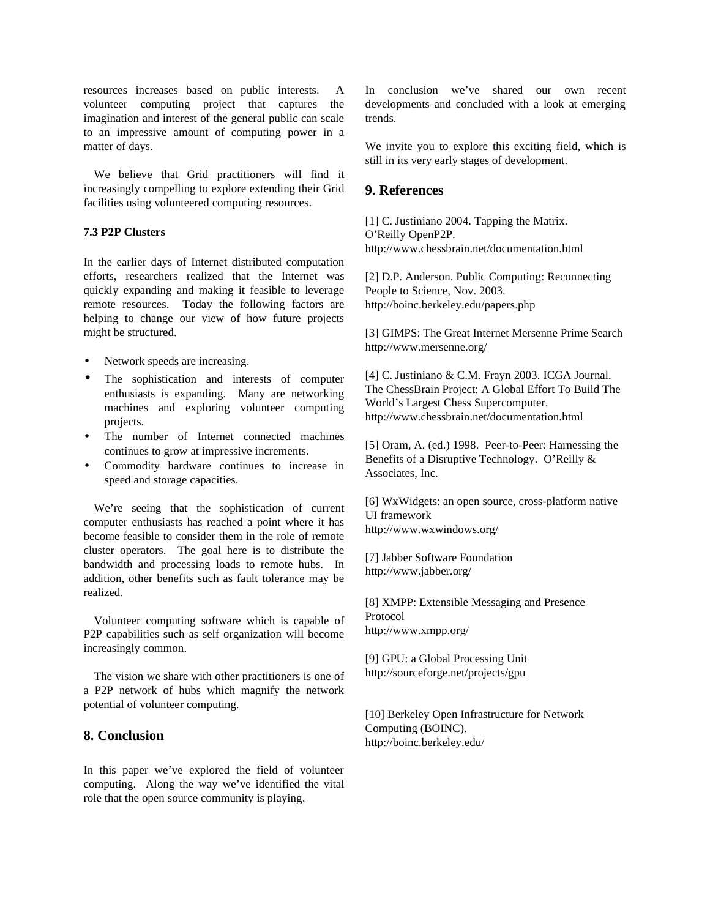resources increases based on public interests. A volunteer computing project that captures the imagination and interest of the general public can scale to an impressive amount of computing power in a matter of days.

We believe that Grid practitioners will find it increasingly compelling to explore extending their Grid facilities using volunteered computing resources.

### **7.3 P2P Clusters**

In the earlier days of Internet distributed computation efforts, researchers realized that the Internet was quickly expanding and making it feasible to leverage remote resources. Today the following factors are helping to change our view of how future projects might be structured.

- Network speeds are increasing.
- The sophistication and interests of computer enthusiasts is expanding. Many are networking machines and exploring volunteer computing projects.
- The number of Internet connected machines continues to grow at impressive increments.
- Commodity hardware continues to increase in speed and storage capacities.

We're seeing that the sophistication of current computer enthusiasts has reached a point where it has become feasible to consider them in the role of remote cluster operators. The goal here is to distribute the bandwidth and processing loads to remote hubs. In addition, other benefits such as fault tolerance may be realized.

Volunteer computing software which is capable of P2P capabilities such as self organization will become increasingly common.

The vision we share with other practitioners is one of a P2P network of hubs which magnify the network potential of volunteer computing.

## **8. Conclusion**

In this paper we've explored the field of volunteer computing. Along the way we've identified the vital role that the open source community is playing.

In conclusion we've shared our own recent developments and concluded with a look at emerging trends.

We invite you to explore this exciting field, which is still in its very early stages of development.

## **9. References**

[1] C. Justiniano 2004. Tapping the Matrix. O'Reilly OpenP2P. http://www.chessbrain.net/documentation.html

[2] D.P. Anderson. Public Computing: Reconnecting People to Science, Nov. 2003. http://boinc.berkeley.edu/papers.php

[3] GIMPS: The Great Internet Mersenne Prime Search http://www.mersenne.org/

[4] C. Justiniano & C.M. Frayn 2003. ICGA Journal. The ChessBrain Project: A Global Effort To Build The World's Largest Chess Supercomputer. http://www.chessbrain.net/documentation.html

[5] Oram, A. (ed.) 1998. Peer-to-Peer: Harnessing the Benefits of a Disruptive Technology. O'Reilly & Associates, Inc.

[6] WxWidgets: an open source, cross-platform native UI framework http://www.wxwindows.org/

[7] Jabber Software Foundation http://www.jabber.org/

[8] XMPP: Extensible Messaging and Presence Protocol http://www.xmpp.org/

[9] GPU: a Global Processing Unit http://sourceforge.net/projects/gpu

[10] Berkeley Open Infrastructure for Network Computing (BOINC). http://boinc.berkeley.edu/